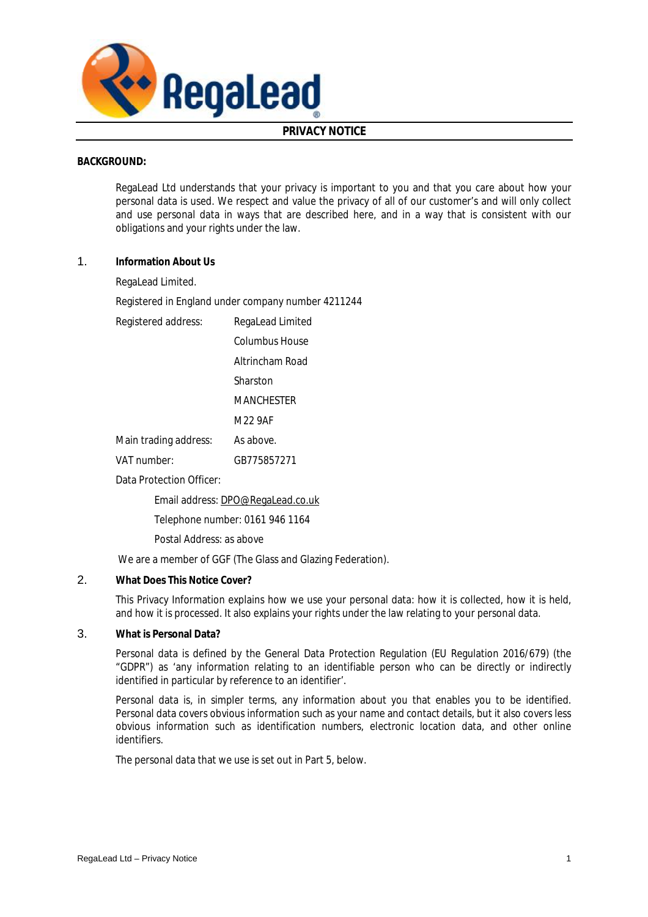

# **PRIVACY NOTICE**

### **BACKGROUND:**

RegaLead Ltd understands that your privacy is important to you and that you care about how your personal data is used. We respect and value the privacy of all of our customer's and will only collect and use personal data in ways that are described here, and in a way that is consistent with our obligations and your rights under the law.

- 1. **Information About Us** 
	- RegaLead Limited.

Registered in England under company number 4211244

Registered address: RegaLead Limited

- Columbus House
- Altrincham Road

Sharston

**MANCHESTER** 

M22 9AF

Main trading address: As above.

VAT number: GB775857271

Data Protection Officer:

Email address: [DPO@RegaLead.co.uk](mailto:DPO@RegaLead.co.uk)

Telephone number: 0161 946 1164

Postal Address: as above

We are a member of GGF (The Glass and Glazing Federation).

2. **What Does This Notice Cover?** 

This Privacy Information explains how we use your personal data: how it is collected, how it is held, and how it is processed. It also explains your rights under the law relating to your personal data.

3. **What is Personal Data?** 

Personal data is defined by the General Data Protection Regulation (EU Regulation 2016/679) (the "GDPR") as 'any information relating to an identifiable person who can be directly or indirectly identified in particular by reference to an identifier'.

Personal data is, in simpler terms, any information about you that enables you to be identified. Personal data covers obvious information such as your name and contact details, but it also covers less obvious information such as identification numbers, electronic location data, and other online identifiers.

The personal data that we use is set out in Part 5, below.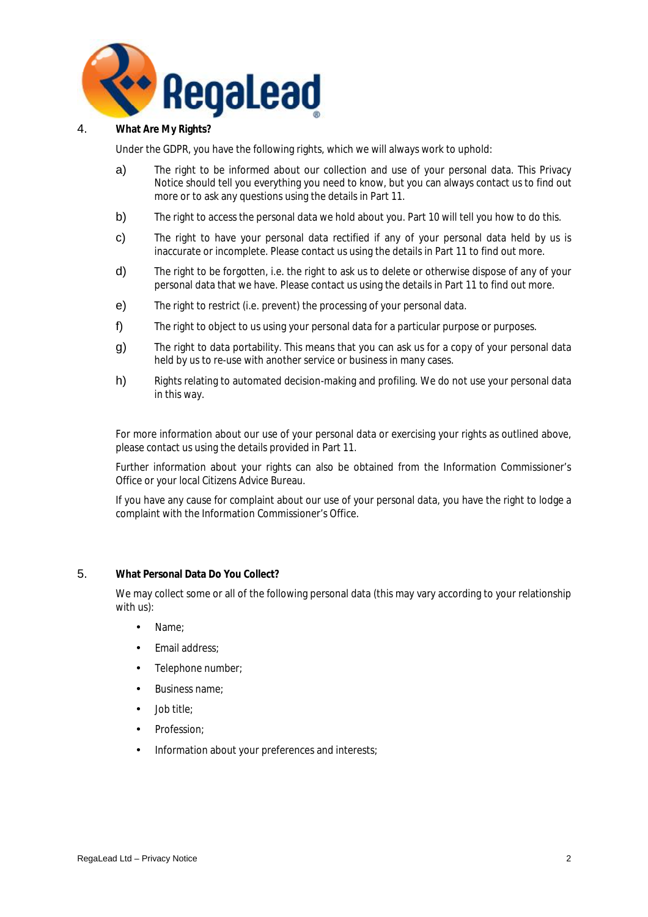

### 4. **What Are My Rights?**

Under the GDPR, you have the following rights, which we will always work to uphold:

- a) The right to be informed about our collection and use of your personal data. This Privacy Notice should tell you everything you need to know, but you can always contact us to find out more or to ask any questions using the details in Part 11.
- b) The right to access the personal data we hold about you. Part 10 will tell you how to do this.
- c) The right to have your personal data rectified if any of your personal data held by us is inaccurate or incomplete. Please contact us using the details in Part 11 to find out more.
- d) The right to be forgotten, i.e. the right to ask us to delete or otherwise dispose of any of your personal data that we have. Please contact us using the details in Part 11 to find out more.
- e) The right to restrict (i.e. prevent) the processing of your personal data.
- f) The right to object to us using your personal data for a particular purpose or purposes.
- g) The right to data portability. This means that you can ask us for a copy of your personal data held by us to re-use with another service or business in many cases.
- h) Rights relating to automated decision-making and profiling. We do not use your personal data in this way.

For more information about our use of your personal data or exercising your rights as outlined above, please contact us using the details provided in Part 11.

Further information about your rights can also be obtained from the Information Commissioner's Office or your local Citizens Advice Bureau.

If you have any cause for complaint about our use of your personal data, you have the right to lodge a complaint with the Information Commissioner's Office.

#### 5. **What Personal Data Do You Collect?**

We may collect some or all of the following personal data (this may vary according to your relationship with us):

- Name;
- **Email address:**
- Telephone number;
- Business name;
- Job title:
- Profession:
- Information about your preferences and interests;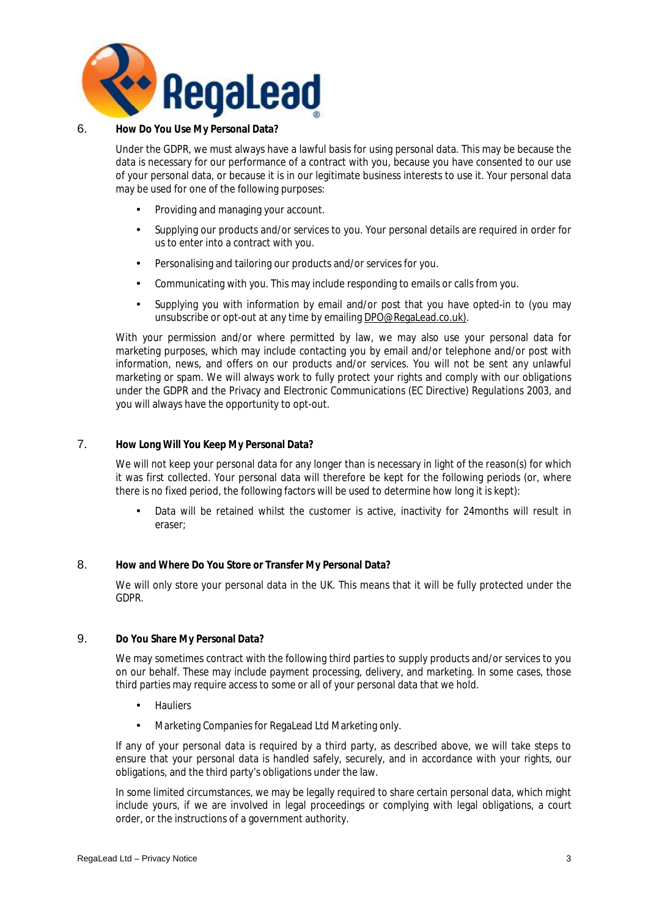

### 6. **How Do You Use My Personal Data?**

Under the GDPR, we must always have a lawful basis for using personal data. This may be because the data is necessary for our performance of a contract with you, because you have consented to our use of your personal data, or because it is in our legitimate business interests to use it. Your personal data may be used for one of the following purposes:

- Providing and managing your account.
- Supplying our products and/or services to you. Your personal details are required in order for us to enter into a contract with you.
- Personalising and tailoring our products and/or services for you.
- Communicating with you. This may include responding to emails or calls from you.
- Supplying you with information by email and/or post that you have opted-in to (you may unsubscribe or opt-out at any time by emailing [DPO@RegaLead.co.uk\)](mailto:DPO@RegaLead.co.uk)).

With your permission and/or where permitted by law, we may also use your personal data for marketing purposes, which may include contacting you by email and/or telephone and/or post with information, news, and offers on our products and/or services. You will not be sent any unlawful marketing or spam. We will always work to fully protect your rights and comply with our obligations under the GDPR and the Privacy and Electronic Communications (EC Directive) Regulations 2003, and you will always have the opportunity to opt-out.

### 7. **How Long Will You Keep My Personal Data?**

We will not keep your personal data for any longer than is necessary in light of the reason(s) for which it was first collected. Your personal data will therefore be kept for the following periods (or, where there is no fixed period, the following factors will be used to determine how long it is kept):

• Data will be retained whilst the customer is active, inactivity for 24months will result in eraser;

## 8. **How and Where Do You Store or Transfer My Personal Data?**

We will only store your personal data in the UK. This means that it will be fully protected under the GDPR.

### 9. **Do You Share My Personal Data?**

We may sometimes contract with the following third parties to supply products and/or services to you on our behalf. These may include payment processing, delivery, and marketing. In some cases, those third parties may require access to some or all of your personal data that we hold.

- **Hauliers**
- Marketing Companies for RegaLead Ltd Marketing only.

If any of your personal data is required by a third party, as described above, we will take steps to ensure that your personal data is handled safely, securely, and in accordance with your rights, our obligations, and the third party's obligations under the law.

In some limited circumstances, we may be legally required to share certain personal data, which might include yours, if we are involved in legal proceedings or complying with legal obligations, a court order, or the instructions of a government authority.